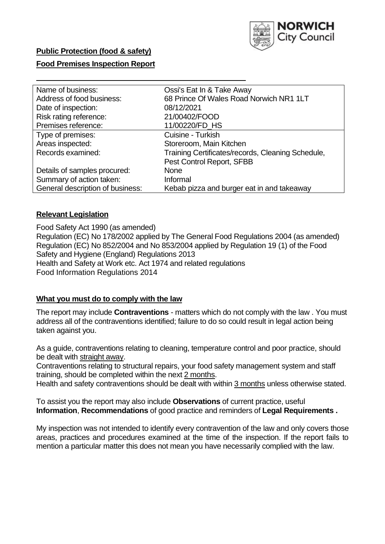

# **Public Protection (food & safety)**

## **Food Premises Inspection Report**

| Name of business:                                                      | Ossi's Eat In & Take Away                  |  |  |  |
|------------------------------------------------------------------------|--------------------------------------------|--|--|--|
| Address of food business:                                              | 68 Prince Of Wales Road Norwich NR1 1LT    |  |  |  |
| Date of inspection:                                                    | 08/12/2021                                 |  |  |  |
| Risk rating reference:                                                 | 21/00402/FOOD                              |  |  |  |
| Premises reference:                                                    | 11/00220/FD HS                             |  |  |  |
| Type of premises:                                                      | Cuisine - Turkish                          |  |  |  |
| Areas inspected:                                                       | Storeroom, Main Kitchen                    |  |  |  |
| Records examined:<br>Training Certificates/records, Cleaning Schedule, |                                            |  |  |  |
|                                                                        | Pest Control Report, SFBB                  |  |  |  |
| Details of samples procured:                                           | <b>None</b>                                |  |  |  |
| Summary of action taken:                                               | Informal                                   |  |  |  |
| General description of business:                                       | Kebab pizza and burger eat in and takeaway |  |  |  |

#### **Relevant Legislation**

 Food Safety Act 1990 (as amended) Regulation (EC) No 178/2002 applied by The General Food Regulations 2004 (as amended) Regulation (EC) No 852/2004 and No 853/2004 applied by Regulation 19 (1) of the Food Safety and Hygiene (England) Regulations 2013 Health and Safety at Work etc. Act 1974 and related regulations Food Information Regulations 2014

#### **What you must do to comply with the law**

 The report may include **Contraventions** - matters which do not comply with the law . You must address all of the contraventions identified; failure to do so could result in legal action being taken against you.

 As a guide, contraventions relating to cleaning, temperature control and poor practice, should be dealt with straight away.

 Contraventions relating to structural repairs, your food safety management system and staff training, should be completed within the next 2 months.

Health and safety contraventions should be dealt with within 3 months unless otherwise stated.

 To assist you the report may also include **Observations** of current practice, useful **Information**, **Recommendations** of good practice and reminders of **Legal Requirements .** 

 My inspection was not intended to identify every contravention of the law and only covers those areas, practices and procedures examined at the time of the inspection. If the report fails to mention a particular matter this does not mean you have necessarily complied with the law.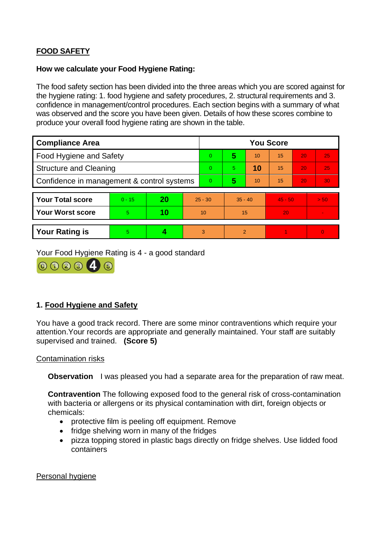# **FOOD SAFETY**

## **How we calculate your Food Hygiene Rating:**

 The food safety section has been divided into the three areas which you are scored against for the hygiene rating: 1. food hygiene and safety procedures, 2. structural requirements and 3. confidence in management/control procedures. Each section begins with a summary of what was observed and the score you have been given. Details of how these scores combine to produce your overall food hygiene rating are shown in the table.

| <b>Compliance Area</b>                     |          |    |           | <b>You Score</b> |                |    |                 |    |          |  |  |
|--------------------------------------------|----------|----|-----------|------------------|----------------|----|-----------------|----|----------|--|--|
| Food Hygiene and Safety                    |          |    |           | $\overline{0}$   | 5              | 10 | $\overline{15}$ | 20 | 25       |  |  |
| <b>Structure and Cleaning</b>              |          |    | $\Omega$  | 5                | 10             | 15 | 20              | 25 |          |  |  |
| Confidence in management & control systems |          |    | $\Omega$  | 5                | 10             | 15 | 20              | 30 |          |  |  |
|                                            |          |    |           |                  |                |    |                 |    |          |  |  |
| <b>Your Total score</b>                    | $0 - 15$ | 20 | $25 - 30$ |                  | $35 - 40$      |    | $45 - 50$       |    | > 50     |  |  |
| <b>Your Worst score</b>                    | 5        | 10 | 10        |                  | 15             |    | 20              |    |          |  |  |
|                                            |          |    |           |                  |                |    |                 |    |          |  |  |
| <b>Your Rating is</b>                      | 5        |    |           | 3                | $\overline{2}$ |    |                 |    | $\Omega$ |  |  |

Your Food Hygiene Rating is 4 - a good standard



# **1. Food Hygiene and Safety**

You have a good track record. There are some minor contraventions which require your attention.Your records are appropriate and generally maintained. Your staff are suitably supervised and trained. **(Score 5)** 

## Contamination risks

**Observation** I was pleased you had a separate area for the preparation of raw meat.

 with bacteria or allergens or its physical contamination with dirt, foreign objects or **Contravention** The following exposed food to the general risk of cross-contamination chemicals:

- protective film is peeling off equipment. Remove
- fridge shelving worn in many of the fridges
- pizza topping stored in plastic bags directly on fridge shelves. Use lidded food containers

Personal hygiene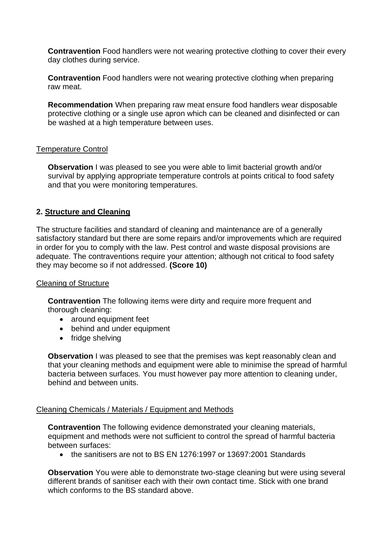**Contravention** Food handlers were not wearing protective clothing to cover their every day clothes during service.

**Contravention** Food handlers were not wearing protective clothing when preparing raw meat.

**Recommendation** When preparing raw meat ensure food handlers wear disposable protective clothing or a single use apron which can be cleaned and disinfected or can be washed at a high temperature between uses.

## Temperature Control

**Observation I** was pleased to see you were able to limit bacterial growth and/or survival by applying appropriate temperature controls at points critical to food safety and that you were monitoring temperatures.

## **2. Structure and Cleaning**

 satisfactory standard but there are some repairs and/or improvements which are required The structure facilities and standard of cleaning and maintenance are of a generally in order for you to comply with the law. Pest control and waste disposal provisions are adequate. The contraventions require your attention; although not critical to food safety they may become so if not addressed. **(Score 10)** 

#### Cleaning of Structure

**Contravention** The following items were dirty and require more frequent and thorough cleaning:

- around equipment feet
- behind and under equipment
- fridge shelving

**Observation** I was pleased to see that the premises was kept reasonably clean and that your cleaning methods and equipment were able to minimise the spread of harmful bacteria between surfaces. You must however pay more attention to cleaning under, behind and between units.

#### Cleaning Chemicals / Materials / Equipment and Methods

**Contravention** The following evidence demonstrated your cleaning materials, equipment and methods were not sufficient to control the spread of harmful bacteria between surfaces:

• the sanitisers are not to BS EN 1276:1997 or 13697:2001 Standards

 **Observation** You were able to demonstrate two-stage cleaning but were using several different brands of sanitiser each with their own contact time. Stick with one brand which conforms to the BS standard above.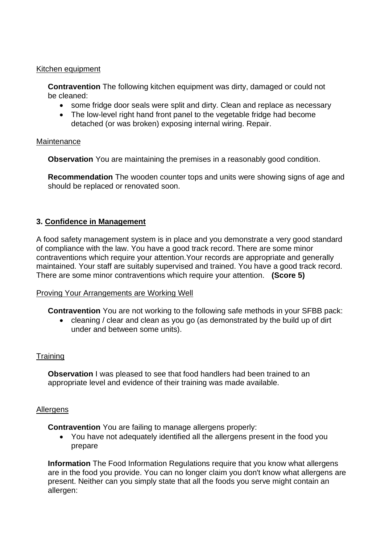#### Kitchen equipment

**Contravention** The following kitchen equipment was dirty, damaged or could not be cleaned:

- some fridge door seals were split and dirty. Clean and replace as necessary
- The low-level right hand front panel to the vegetable fridge had become detached (or was broken) exposing internal wiring. Repair.

#### **Maintenance**

**Observation** You are maintaining the premises in a reasonably good condition.

 should be replaced or renovated soon. **Recommendation** The wooden counter tops and units were showing signs of age and

## **3. Confidence in Management**

 of compliance with the law. You have a good track record. There are some minor A food safety management system is in place and you demonstrate a very good standard contraventions which require your attention.Your records are appropriate and generally maintained. Your staff are suitably supervised and trained. You have a good track record. There are some minor contraventions which require your attention. **(Score 5)** 

#### Proving Your Arrangements are Working Well

**Contravention** You are not working to the following safe methods in your SFBB pack:

 • cleaning / clear and clean as you go (as demonstrated by the build up of dirt under and between some units).

## **Training**

 **Observation** I was pleased to see that food handlers had been trained to an appropriate level and evidence of their training was made available.

#### Allergens

**Contravention** You are failing to manage allergens properly:

• You have not adequately identified all the allergens present in the food you prepare

**Information** The Food Information Regulations require that you know what allergens are in the food you provide. You can no longer claim you don't know what allergens are present. Neither can you simply state that all the foods you serve might contain an allergen: